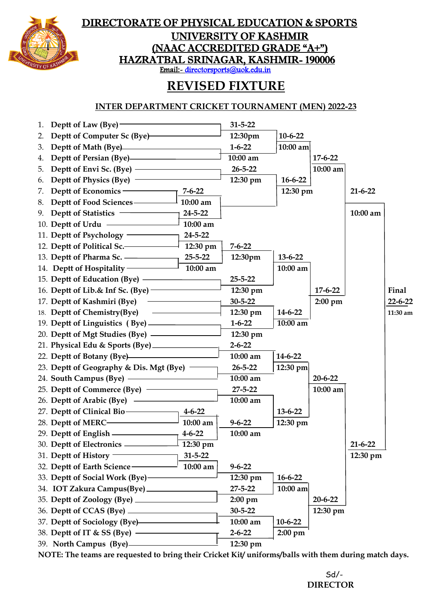

### DIRECTORATE OF PHYSICAL EDUCATION & SPORTS

UNIVERSITY OF KASHMIR (NAAC ACCREDITED GRADE "A+") HAZRATBAL SRINAGAR, KASHMIR- 190006

Email:- [directorsports@uok.edu.in](mailto:directorsports@uok.edu.in) 

# **REVISED FIXTURE**

#### **INTER DEPARTMENT CRICKET TOURNAMENT (MEN) 2022-23**



**NOTE: The teams are requested to bring their Cricket Kit/ uniforms/balls with them during match days.**